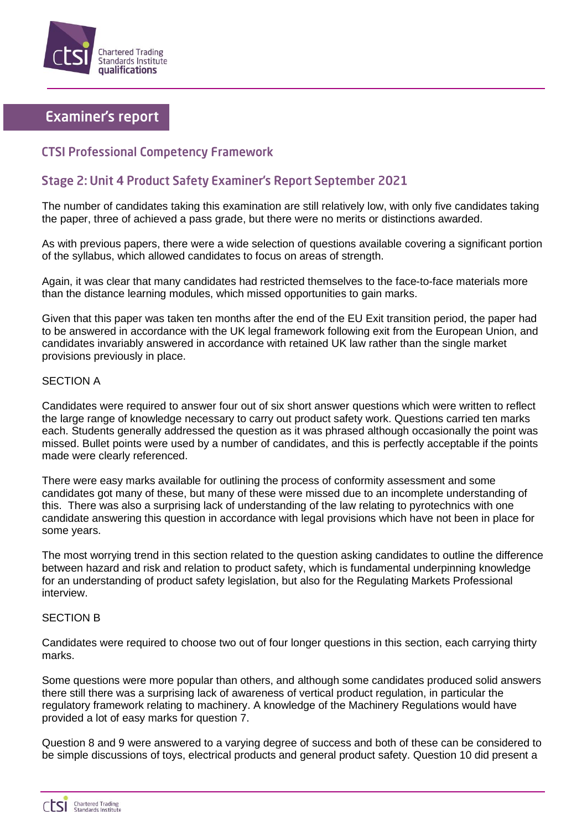

# **Examiner's report**

### **CTSI Professional Competency Framework**

## Stage 2: Unit 4 Product Safety Examiner's Report September 2021

The number of candidates taking this examination are still relatively low, with only five candidates taking the paper, three of achieved a pass grade, but there were no merits or distinctions awarded.

As with previous papers, there were a wide selection of questions available covering a significant portion of the syllabus, which allowed candidates to focus on areas of strength.

Again, it was clear that many candidates had restricted themselves to the face-to-face materials more than the distance learning modules, which missed opportunities to gain marks.

Given that this paper was taken ten months after the end of the EU Exit transition period, the paper had to be answered in accordance with the UK legal framework following exit from the European Union, and candidates invariably answered in accordance with retained UK law rather than the single market provisions previously in place.

#### SECTION A

Candidates were required to answer four out of six short answer questions which were written to reflect the large range of knowledge necessary to carry out product safety work. Questions carried ten marks each. Students generally addressed the question as it was phrased although occasionally the point was missed. Bullet points were used by a number of candidates, and this is perfectly acceptable if the points made were clearly referenced.

There were easy marks available for outlining the process of conformity assessment and some candidates got many of these, but many of these were missed due to an incomplete understanding of this. There was also a surprising lack of understanding of the law relating to pyrotechnics with one candidate answering this question in accordance with legal provisions which have not been in place for some years.

The most worrying trend in this section related to the question asking candidates to outline the difference between hazard and risk and relation to product safety, which is fundamental underpinning knowledge for an understanding of product safety legislation, but also for the Regulating Markets Professional interview.

#### SECTION B

Candidates were required to choose two out of four longer questions in this section, each carrying thirty marks.

Some questions were more popular than others, and although some candidates produced solid answers there still there was a surprising lack of awareness of vertical product regulation, in particular the regulatory framework relating to machinery. A knowledge of the Machinery Regulations would have provided a lot of easy marks for question 7.

Question 8 and 9 were answered to a varying degree of success and both of these can be considered to be simple discussions of toys, electrical products and general product safety. Question 10 did present a